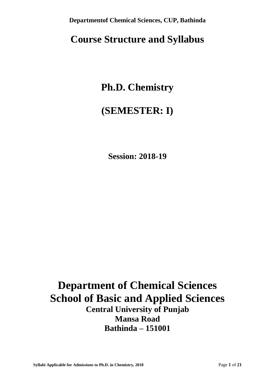# **Course Structure and Syllabus**

# **Ph.D. Chemistry**

# **(SEMESTER: I)**

**Session: 2018-19**

# **Department of Chemical Sciences School of Basic and Applied Sciences Central University of Punjab Mansa Road Bathinda – 151001**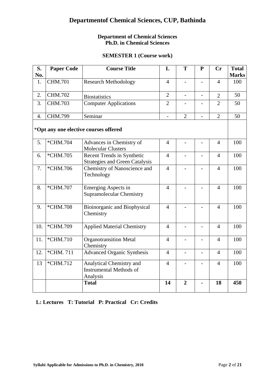### **Department of Chemical Sciences Ph.D. in Chemical Sciences**

## **SEMESTER 1 (Course work)**

| S.<br>No. | <b>Paper Code</b> | <b>Course Title</b>                                                    | L              | T                        | $\mathbf{P}$             | Cr             | <b>Total</b><br><b>Marks</b> |
|-----------|-------------------|------------------------------------------------------------------------|----------------|--------------------------|--------------------------|----------------|------------------------------|
| 1.        | <b>CHM.701</b>    | <b>Research Methodology</b>                                            | $\overline{4}$ | $\overline{\phantom{0}}$ |                          | $\overline{4}$ | 100                          |
| 2.        | <b>CHM.702</b>    | <b>Biostatistics</b>                                                   | $\overline{2}$ | $\overline{a}$           |                          | $\overline{2}$ | 50                           |
| 3.        | <b>CHM.703</b>    | <b>Computer Applications</b>                                           | $\overline{2}$ |                          |                          | $\overline{2}$ | 50                           |
| 4.        | <b>CHM.799</b>    | Seminar                                                                | $\overline{a}$ | $\overline{2}$           |                          | $\overline{2}$ | 50                           |
|           |                   | *Opt any one elective courses offered                                  |                |                          |                          |                |                              |
| 5.        | *CHM.704          | Advances in Chemistry of<br><b>Molecular Clusters</b>                  | $\overline{4}$ |                          |                          | $\overline{4}$ | 100                          |
| 6.        | *CHM.705          | Recent Trends in Synthetic<br><b>Strategies and Green Catalysis</b>    | $\overline{4}$ |                          |                          | $\overline{4}$ | 100                          |
| 7.        | *CHM.706          | Chemistry of Nanoscience and<br>Technology                             | $\overline{4}$ |                          |                          | $\overline{4}$ | 100                          |
| 8.        | *CHM.707          | <b>Emerging Aspects in</b><br><b>Supramolecular Chemistry</b>          | $\overline{4}$ |                          |                          | $\overline{4}$ | 100                          |
| 9.        | *CHM.708          | Bioinorganic and Biophysical<br>Chemistry                              | $\overline{4}$ |                          |                          | $\overline{4}$ | 100                          |
| 10.       | *CHM.709          | <b>Applied Material Chemistry</b>                                      | $\overline{4}$ | $\overline{a}$           |                          | $\overline{4}$ | 100                          |
| 11.       | *CHM.710          | <b>Organotransition Metal</b><br>Chemistry                             | $\overline{4}$ | $\overline{a}$           |                          | $\overline{4}$ | 100                          |
| 12.       | *CHM. 711         | <b>Advanced Organic Synthesis</b>                                      | $\overline{4}$ | $\overline{\phantom{0}}$ | $\overline{\phantom{0}}$ | $\overline{4}$ | 100                          |
| 13        | *CHM.712          | Analytical Chemistry and<br><b>Instrumental Methods of</b><br>Analysis | $\overline{4}$ |                          |                          | $\overline{4}$ | 100                          |
|           |                   | <b>Total</b>                                                           | 14             | $\overline{2}$           |                          | 18             | 450                          |

## **L: Lectures T: Tutorial P: Practical Cr: Credits**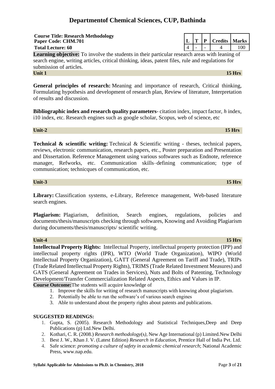# **Unit-4 15 Hrs**

**Intellectual Property Rights:** Intellectual Property, intellectual property protection (IPP) and intellectual property rights (IPR), WTO (World Trade Organization), WIPO (World Intellectual Property Organization), GATT (General Agreement on Tariff and Trade), TRIPs (Trade Related Intellectual Property Rights), TRIMS (Trade Related Investment Measures) and GATS (General Agreement on Trades in Services), Nuts and Bolts of Patenting, Technology Development/Transfer Commercialization Related Aspects, Ethics and Values in IP.

**Course Outcome:**The students will acquire knowledge of

- 1. Improve the skills for writing of research manuscripts with knowing about plagiarism.
- 2. Potentially be able to run the software's of various search engines
- 3. Able to understand about the property rights about patents and publications.

### **SUGGESTED READINGS:**

- 1. Gupta, S. (2005). Research Methodology and Statistical Techniques,Deep and Deep Publications (p) Ltd.New Delhi.
- 2. Kothari, C. R. (2008.) *Research methodology*(s*)*, New Age International (p) Limited.New Delhi
- 3. Best J. W., Khan J. V. (Latest Edition) *Research in Education*, Prentice Hall of India Pvt. Ltd.
- 4. Safe science: *promoting a culture of safety in academic chemical research*; National Academic Press[, www.nap.edu.](http://www.nap.edu/)

# **Departmentof Chemical Sciences, CUP, Bathinda**

**Total Lecture: 60** 4 - - 4 100 **Learning objective:** To involve the students in their particular research areas with leaning of search engine, writing articles, critical thinking, ideas, patent files, rule and regulations for submission of articles. **Unit 1** 15 Hrs

**General principles of research:** Meaning and importance of research, Critical thinking, Formulating hypothesis and development of research plan, Review of literature, Interpretation of results and discussion.

**Bibliographic index and research quality parameters**- citation index, impact factor, *h* index, i10 index, etc. Research engines such as google scholar, Scopus, web of science, etc

#### **Unit-2 15 Hrs**

**Course Title: Research Methodology**

**Technical & scientific writing:** Technical & Scientific writing - theses, technical papers, reviews, electronic communication, research papers, etc., Poster preparation and Presentation and Dissertation. Reference Management using various softwares such as Endnote, reference manager, Refworks, etc. Communication skills–defining communication; type of communication; technicques of communication, etc.

#### **Unit-3 15 Hrs**

**Library:** Classification systems, e-Library, Reference management, Web-based literature search engines.

Plagiarism: Plagiarism, definition, Search engines, regulations, policies and documents/thesis/manuscripts checking through softwares, Knowing and Avoiding Plagiarism during documents/thesis/manuscripts/ scientific writing.

# **Paper Code: CHM.701 L T P Credits Marks**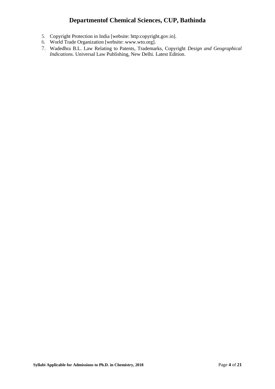- 5. Copyright Protection in India [website: http:copyright.gov.in].
- 6. World Trade Organization [website: [www.wto.org\]](http://www.wto.org/).
- 7. Wadedhra B.L. Law Relating to Patents, Trademarks, Copyright *Design and Geographical Indications*. Universal Law Publishing, New Delhi. Latest Edition.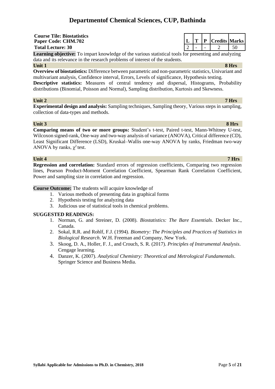**Course Tile: Biostatistics**

**Learning objective:** To impart knowledge of the various statistical tools for presenting and analyzing data and its relevance in the research problems of interest of the students.

**Unit 1 8 Hrs**

**Overview of biostatistics:** Difference between parametric and non-parametric statistics, Univariant and multivariant analysis, Confidence interval, Errors, Levels of significance, Hypothesis testing.

**Descriptive statistics:** Measures of central tendency and dispersal, Histograms, Probability distributions (Binomial, Poisson and Normal), Sampling distribution, Kurtosis and Skewness.

#### **Unit 2 7 Hrs**

**Experimental design and analysis:** Sampling techniques, Sampling theory, Various steps in sampling, collection of data-types and methods.

#### **Unit 3 8 Hrs**

**Comparing means of two or more groups:** Student's t-test, Paired t-test, Mann-Whitney U-test, Wilcoxon signed-rank, One-way and two-way analysis of variance (ANOVA), Critical difference (CD), Least Significant Difference (LSD), Kruskal–Wallis one-way ANOVA by ranks, Friedman two-way ANOVA by ranks,  $\chi^2$  test.

#### **Unit 4 7 Hrs**

**Regression and correlation:** Standard errors of regression coefficients, Comparing two regression lines, Pearson Product-Moment Correlation Coefficient, Spearman Rank Correlation Coefficient, Power and sampling size in correlation and regression.

**Course Outcome:** The students will acquire knowledge of

- 1. Various methods of presenting data in graphical forms
- 2. Hypothesis testing for analyzing data
- 3. Judicious use of statistical tools in chemical problems.

#### **SUGGESTED READINGS:**

- 1. Norman, G. and Streiner, D. (2008). *Biostatistics: The Bare Essentials*. Decker Inc., Canada.
- 2. Sokal, R.R. and Rohlf, F.J. (1994). *Biometry: The Principles and Practices of Statistics in Biological Research*. W.H. Freeman and Company, New York.
- 3. Skoog, D. A., Holler, F. J., and Crouch, S. R. (2017). *Principles of Instrumental Analysis*. Cengage learning.
- 4. Danzer, K. (2007). *Analytical Chemistry: Theoretical and Metrological Fundamentals*. Springer Science and Business Media.

**Paper Code: CHM.702 L T P Credits Marks Total Lecture: 30** 2 - 2 50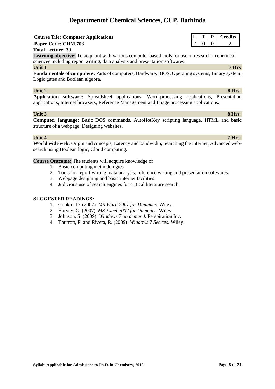#### **Syllabi Applicable for Admissions to Ph.D. in Chemistry, 2018** Page 6 of 21

# **Departmentof Chemical Sciences, CUP, Bathinda**

# **Course Tile: Computer Applications**

## **Paper Code: CHM.703**

#### **Total Lecture: 30**

**Learning objective:** To acquaint with various computer based tools for use in research in chemical sciences including report writing, data analysis and presentation softwares.

**Unit 1 7 Hrs**

**Fundamentals of computers:** Parts of computers, Hardware, BIOS, Operating systems, Binary system, Logic gates and Boolean algebra.

#### **Unit 2** 8 Hrs

**Application software:** Spreadsheet applications, Word-processing applications, Presentation applications, Internet browsers, Reference Management and Image processing applications.

### **Unit 3 8 Hrs**

**Computer language:** Basic DOS commands, AutoHotKey scripting language, HTML and basic structure of a webpage, Designing websites.

### **Unit 4 7 Hrs**

**World wide web:** Origin and concepts, Latency and bandwidth, Searching the internet, Advanced websearch using Boolean logic, Cloud computing.

#### **Course Outcome:** The students will acquire knowledge of

- 1. Basic computing methodologies
- 2. Tools for report writing, data analysis, reference writing and presentation softwares.
- 3. Webpage designing and basic internet facilities
- 4. Judicious use of search engines for critical literature search.

- 1. Gookin, D. (2007). *MS Word 2007 for Dummies*. Wiley.
- 2. Harvey, G. (2007). *MS Excel 2007 for Dummies*. Wiley.
- 3. Johnson, S. (2009). *Windows 7 on demand*. Perspiration Inc.
- 4. Thurrott, P. and Rivera, R. (2009). *Windows 7 Secrets*. Wiley.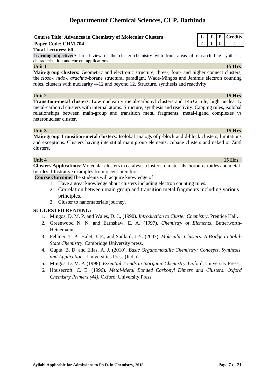### **Course Title: Advances in Chemistry of Molecular Clusters**

## **Paper Code: CHM.704**

#### **Total Lectures: 60**

**Learning objective:**A broad view of the cluster chemistry with front areas of research like synthesis, characterization and current applications.

#### **Unit 1** 15 Hrs

**Main-group clusters:** Geometric and electronic structure, three-, four- and higher connect clusters, the *closo-, nido-, arachno*-borane structural paradigm, Wade-Mingos and Jemmis electron counting rules, clusters with nuclearity 4-12 and beyond 12. Structure, synthesis and reactivity.

#### **Unit 2** 15 Hrs

**Transition-metal clusters**: Low nuclearity metal-carbonyl clusters and 14n+2 rule, high nuclearity metal-carbonyl clusters with internal atoms. Structure, synthesis and reactivity. Capping rules, isolobal relationships between main-group and transition metal fragments, metal-ligand complexes vs heteronuclear cluster.

### **Unit 3** 15 Hrs

**Main-group Transition-metal clusters**: Isolobal analogs of p-block and d-block clusters, limitations and exceptions. Clusters having interstitial main group elements, cubane clusters and naked or Zintl clusters.

### **Unit 4 15 Hrs**

**Clusters Applications**: Molecular clusters in catalysis, clusters to materials, boron-carbides and metalborides. Illustrative examples from recent literature.

**Course Outcome:**The students will acquire knowledge of

- 1. Have a great knowledge about clusters including electron counting rules.
	- 2. Correlation between main group and transition metal fragments including various principles.
	- 3. Cluster to nanomaterials journey.

- 1. Mingos, D. M. P. and Wales, D. J., (1990). *Introduction to Cluster Chemistry*. Prentice Hall.
- 2. Greenwood N. N. and Earnshaw, E. A. (1997). *Chemistry of Elements*. Butterworth-Heinemann.
- 3. Fehlner, T. P., Halet, J. F., and Saillard, J-Y. (2007). *Molecular Clusters*: *A Bridge to Solid-State Chemistry*. Cambridge University press,
- 4. Gupta, B. D. and Elias, A. J. (2010). *Basic Organometallic Chemistry: Concepts, Synthesis, and Applications*. Universities Press (India).
- 5. Mingos, D. M. P. (1998). *Essential Trends in Inorganic Chemistry*. Oxford, University Press,
- 6. Housecroft, C. E. (1996). *Metal-Metal Bonded Carbonyl Dimers and Clusters*. *Oxford Chemistry Primers (44).* Oxford, University Press,

|  | līts<br>ш, |
|--|------------|
|  |            |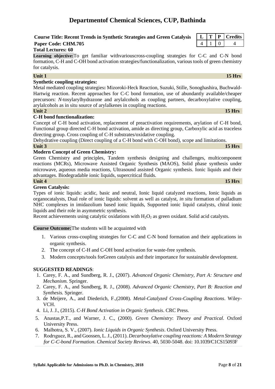### **Course Title: Recent Trends in Synthetic Strategies and Green Catalysis L T P Credits Paper Code: CHM.705** 4 1 0 4

### **Total Lectures: 60**

**Learning objective:**To get familiar withvariouscross-coupling strategies for C-C and C-N bond formation, C-H and C-OH bond activation strategies/functionalization, various tools of green chemistry for catalysis.

### **Unit 1** 15 Hrs

### **Synthetic coupling strategies:**

Metal mediated coupling strategies**:** Mizoroki**-**Heck Reaction, Suzuki, Stille, Sonoghashira, Buchwald-Hartwig reaction. Recent approaches for C-C bond formation, use of abundantly available/cheaper precursors: *N*-tosylarylhydrazone and arylalcohols as coupling partners, decarboxylative coupling, arylalcohols as in situ source of arylalkenes in coupling reactions.

### **Unit 2** 15 Hrs

### **C-H bond functionalization:**

Concept of C-H bond activation, replacement of preactivation requirements, arylation of C-H bond, Functional group directed C-H bond activation, amide as directing group, Carboxylic acid as traceless directing group. Cross coupling of C-H substrates/oxidative coupling.

Dehydrative coupling (Direct coupling of a C-H bond with C-OH bond), scope and limitations. **Unit 3 15 Hrs**

### **Modern Concept of Green Chemistry:**

Green Chemistry and principles, Tandem synthesis designing and challenges, multicomponent reactions (MCRs), Microwave Assisted Organic Synthesis (MAOS), Solid phase synthesis under microwave, aqueous media reactions, Ultrasound assisted Organic synthesis. Ionic liquids and their advantages. Biodegradable ionic liquids, supercritical fluids.

### **Unit 4 15 Hrs**

### **Green Catalysis:**

Types of ionic liquids: acidic, basic and neutral, Ionic liquid catalyzed reactions, Ionic liquids as organocatalysts, Dual role of ionic liquids: solvent as well as catalyst, *in situ* formation of palladium NHC complexes in imidazolium based ionic liquids, Supported ionic liquid catalysts, chiral ionic liquids and their role in asymmetric synthesis.

Recent achievements using catalytic oxidations with  $H_2O_2$  as green oxidant. Solid acid catalysts.

#### **Course Outcome:**The students will be acquainted with

- 1. Various cross-coupling strategies for C-C and C-N bond formation and their applications in organic synthesis.
- 2. The concept of C-H and C-OH bond activation for waste-free synthesis.
- 3. Modern concepts/tools forGreen catalysis and their importance for sustainable development.

- 1. Carey, F. A., and Sundberg, R. J., (2007). *Advanced Organic Chemistry, Part A: Structure and Mechanism.* Springer.
- 2. Carey, F. A., and Sundberg, R. J., (2008). *Advanced Organic Chemistry, Part B: Reaction and Synthesis.* Springer.
- 3. de Meijere, A., and Diederich, F.,(2008). *Metal-Catalyzed Cross-Coupling Reactions*. Wiley-VCH.
- 4. Li, J. J., (2015). *C-H Bond Activation in Organic Synthesis*. CRC Press.
- 5. Anastas,P.T., and Warner, J. C., (2000). *Green Chemistry*: *Theory and Practical*. Oxford University Press.
- 6. Malhotra, S. V., (2007). *Ionic Liquids in Organic Synthesis*. Oxford University Press.
- 7. Rodrıguez, R., and Goossen, L. J., (2011). *Decarboxylative coupling reactions: A Modern Strategy for C-C-bond Formation*. *Chemical Society Reviews*. 40, 5030-5048. doi: 10.1039/C1CS15093F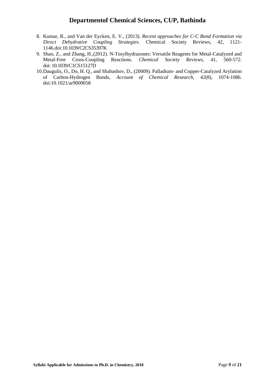- 8. Kumar, R., and Van der Eycken, E. V., (2013). *Recent approaches for C-C Bond Formation via Direct Dehydrative Coupling Strategies*. Chemical Society Reviews, 42, 1121- 1146.doi:10.1039/C2CS35397K
- 9. Shao, Z., and Zhang, H.,(2012). N-Tosylhydrazones: Versatile Reagents for Metal-Catalyzed and Metal-Free Cross-Coupling Reactions. *Chemical Society Reviews*, 41, 560-572. doi: 10.1039/C1CS15127D
- 10.Daugulis, O., Do, H. Q., and Shabashov, D., (20009). Palladium- and Copper-Catalyzed Arylation of Carbon-Hydrogen Bonds, *Account of Chemical Research*, *42*(8), 1074-1086. doi:10.1021/ar9000058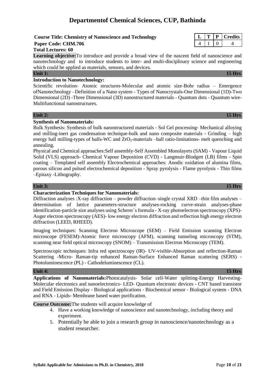#### **Course Title: Chemistry of Nanoscience and Technology**

# **Paper Code: CHM.706**

#### **Total Lectures: 60**

**Learning objective:**To introduce and provide a broad view of the nascent field of nanoscience and nanotechnology and to introduce students to inter- and multi-disciplinary science and engineering which could be applied as materials, sensors, and devices.

#### **Introduction to Nanotechnology:**

Scientific revolution- Atomic structures-Molecular and atomic size-Bohr radius – Emergence ofNanotechnology –Definition of a Nano system - Types of Nanocrystals-One Dimensional (1D)-Two Dimensional (2D) -Three Dimensional (3D) nanostructured materials - Quantum dots - Quantum wire-Multifunctional nanostructures.

#### **Unit 2: 15 Hrs**

#### **Synthesis of Nanomaterials:**

Bulk Synthesis: Synthesis of bulk nanostructured materials - Sol Gel processing- Mechanical alloying and milling-inert gas condensation technique-bulk and nano composite materials - Grinding – high energy ball milling-types of balls-WC and  $ZrO<sub>2</sub>$ -materials –ball ratio-limitations- melt quenching and annealing.

Physical and Chemical approaches:Self assembly-Self Assembled Monolayers (SAM) - Vapour Liquid Solid (VLS) approach- Chemical Vapour Deposition (CVD) - Langmuir-Blodgett (LB) films - Spin coating – Templated self assembly Electrochemical approaches: Anodic oxidation of alumina films, porous silicon and pulsed electrochemical deposition - Spray pyrolysis - Flame pyrolysis - Thin films –Epitaxy -Lithography.

#### **Unit 3: 15 Hrs**

### **Characterization Techniques for Nanomaterials:**

Diffraction analyses :X-ray diffraction – powder diffraction–single crystal XRD –thin film analyses – determination of lattice parameters-structure analyses-rocking curve-strain analyses-phase identification-particle size analyses using Scherer`s formula - X-ray photoelectron spectroscopy (XPS)- Auger electron spectroscopy (AES)- low energy electron diffraction and reflection high energy electron diffraction (LEED, RHEED).

Imaging techniques: Scanning Electron Microscope (SEM) – Field Emission scanning Electron microscope (FESEM)-Atomic force microscopy (AFM), scanning tunneling microscopy (STM), scanning near field optical microscopy (SNOM) – Transmission Electron Microscopy (TEM).

Spectroscopic techniques: Infra red spectroscopy (IR)- UV-visible-Absorption and reflection-Raman Scattering -Micro- Raman-tip enhanced Raman-Surface Enhanced Raman scattering (SERS) - Photoluminescence (PL) - Cathodeluminescence (CL).

#### **Unit 4: 15 Hrs**

**Applications of Nanomaterials:**Photocatalysis- Solar cell-Water splitting-Energy Harvesting-Molecular electronics and nanoelectronics- LED- Quantum electronic devices - CNT based transistor and Field Emission Display - Biological applications - Biochemical sensor - Biological system - DNA and RNA - Lipids- Membrane based water purification.

#### **Course Outcome:**The students will acquire knowledge of

- 4. Have a working knowledge of nanoscience and nanotechnology, including theory and experiment.
- 5. Potentially be able to join a research group in nanoscience/nanotechnology as a student researcher.

|  | -<br>.ts |
|--|----------|
|  |          |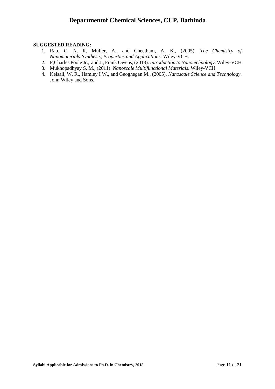- 1. Rao, C. N. R, Müller, A., and Cheetham, A. K., (2005). *The Chemistry of Nanomaterials:Synthesis, Properties and Applications*. Wiley-VCH.
- 2. P,Charles Poole Jr., and J., Frank Owens, (2013). *Introduction to Nanotechnology*. Wiley-VCH
- 3. Mukhopadhyay S. M., (2011). *Nanoscale Multifunctional Materials*. Wiley-VCH
- 4. Kelsall, W. R., Hamley I W., and Geoghegan M., (2005). *Nanoscale Science and Technology*. John Wiley and Sons.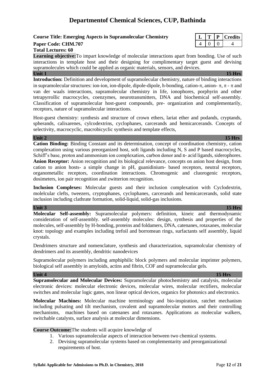### **Course Title: Emerging Aspects in Supramolecular Chemistry**

#### **Paper Code: CHM.707**

#### **Total Lectures: 60**

**Learning objective:**To impart knowledge of molecular interactions apart from bonding. Use of such interactions in template host and their designing for complimentary target guest and devising supramolecules which could be applied as organic materials, sensors, and devices. **Unit 1** 15 Hrs

**Introduction:** Definition and development of supramolecular chemistry, nature of binding interactions in supramolecular structures: ion-ion, ion-dipole, dipole-dipole, h-bonding, cation- $\pi$ , anion-  $\pi$ ,  $\pi$  -  $\pi$  and van der waals interactions, supramolecular chemistry in life, ionophores, porphyrin and other tetrapyrrollic macrocycles, coenzymes, neurotransmitters, DNA and biochemical self-assembly. Classification of supramolecular host-guest compounds, pre- organization and complementarily, receptors, nature of supramolecular interactions.

Host-guest chemistry: synthesis and structure of crown ethers, lariat ether and podands, cryptands, spherands, calixarenes, cylcodextrins, cyclophanes, carcerands and hemicarcerands. Concepts of selectivity, macrocyclic, macrobicyclic synthesis and template effects,

#### **Unit 2 15 Hrs**

**Cation Binding:** Binding Constant and its determination, concept of coordination chemistry, cation complexation using various preorganized host, soft ligands including N, S and P based macrocycles, Schiff's base, proton and ammonium ion complexation, carbon donor and  $\pi$ - acid ligands, siderophores. **Anion Receptor:** Anion recognition and its biological relevance, concepts on anion host design, from cation to anion hosts- a simple change in pH, guanidinium- based receptors, neutral receptors, organometallic receptors, coordination interactions. Chromogenic and cluorogenic receptors, dosimeters, ion pair recognition and zwitterion recognition.

**Inclusion Complexes:** Molecular guests and their inclusion complexation with Cyclodextrin, molelcular clefts, tweezers, cryptophanes, cyclophanes, carcerands and hemicarcerands, solid state inclusion including clathrate formation, solid-liquid, solid-gas inclusions.

#### **Unit 3 15 Hrs**

**Molecular Self-assembly:** Supramolecular polymers: definition, kineic and thermodynamic consideration of self-assembly. self-assembly molecules: design, synthesis and properties of the molecules, self-assembly by H-bonding, proteins and foldamers, DNA, catenanes, rotaxanes, molecular knot: topology and examples including trefoil and borromean rings, surfactants self assembly, liquid crystals.

Dendrimers structure and nomenclature, synthesis and characterization, supramolcular chemistry of dendrimers and its assembly, dendritic nanodevices

Supramolecular polymers including amphiphilic block polymers and molecular imprinter polymers, biological self assembly in amyloids, actins and fibrin, COF and supramolecular gels.

#### **Unit 4 15 Hrs**

**Supramolecular and Molecular Devices:** Supramolecular photochemistry and catalysis, molecular electronic devices: molecular electronic devices, molecular wires, molecular rectifiers, molecular switches and molecular logic gates, non linear optical devices, organics for photonics and electronics.

**Molecular Machines:** Molecular machine terminology and bio-inspiration, ratchet mechanism including pulsating and tilt mechanism, covalent and supramolecular motors and their controlling mechanisms, machines based on catenanes and rotaxanes. Applications as molecular walkers, switchable catalysts, surface analysis at molecular dimensions.

**Course Outcome:**The students will acquire knowledge of

- 1. Various supramolecular aspects of interaction between two chemical systems.
- 2. Devising supramolecular systems based on complementarity and preorganizational requirements of host.

|  |  | ıts<br>ren |
|--|--|------------|
|  |  |            |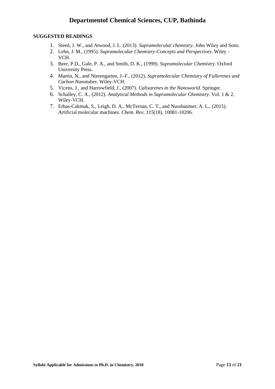- 1. Steed, J. W., and Atwood, J. L. (2013). *Supramolecular chemistry*. John Wiley and Sons.
- 2. Lehn, J. M., (1995). *Supramolecular Chemistry-Concepts and Perspectives*. Wiley VCH.
- 3. Beer, P.D., Gale, P. A., and Smith, D. K., (1999). *Supramolecular Chemistry*. Oxford University Press.
- 4. Martin, N., and Nierengarten, J.-F., (2012). *Supramolecular Chemistry of Fullerenes and Carbon Nanotubes*. Wiley-VCH.
- 5. Vicens, J., and Harrowfield, J., (2007). *Calixarenes in the Nanoworld*. Springer.
- 6. Schalley, C. A., (2012). *Analytical Methods in Supramolecular Chemistry*. Vol. 1 & 2, Wiley-VCH.
- 7. Erbas-Cakmak, S., Leigh, D. A., McTernan, C. T., and Nussbaumer, A. L., (2015). Artificial molecular machines. *Chem. Rev*, *115*(18), 10081-10206.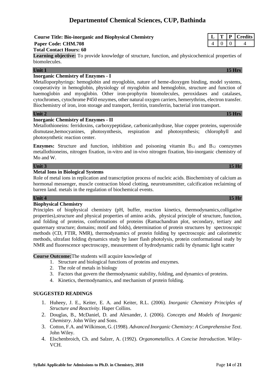# **Course Title: Bio-inorganic and Biophysical Chemistry**

# **Paper Code: CHM.708**

#### **Total Contact Hours: 60**

Learning objective: To provide knowledge of structure, function, and physicochemical properties of biomolecules.

#### **Unit 1** 15 Hrs

## **Inorganic Chemistry of Enzymes - I**

Metalloporphyrings: hemoglobin and myoglobin, nature of heme-dioxygen binding, model systems, cooperativity in hemoglobin, physiology of myoglobin and hemoglobin, structure and function of haemoglobin and myoglobin. Other iron-prophyrin biomolecules, peroxidases and catalases, cytochromes, cytochrome P450 enzymes, other natural oxygen carriers, hemerythrins, electron transfer. Biochemistry of iron, iron storage and transport, ferritin, transferrin, bacterial iron transport.

#### **Unit 2 15 Hrs**

#### **Inorganic Chemistry of Enzymes - II**

Metallothioneins: ferridoxins, carboxypeptidase, carbonicanhydrase, blue copper proteins, superoxide dismutase,hemocyanines, photosynthesis, respiration and photosynthesis; chlorophyll and photosynthetic reaction center.

**Enzymes:** Structure and function, inhibition and poisoning vitamin  $B_{12}$  and  $B_{12}$  coenzymes metallothioneins, nitrogen fixation, in-vitro and in-vivo nitrogen fixation, bio-inorganic chemistry of Mo and W.

#### **Unit 3 15 Hr**

### **Metal Ions in Biological Systems**

Role of metal ions in replication and transcription process of nucleic acids. Biochemistry of calcium as hormonal messenger, muscle contraction blood clotting, neurotransmitter, calcification reclaiming of barren land. metals in the regulation of biochemical events.

#### **Unit 4 15 Hr**

#### **Biophysical Chemistry**

Principles of biophysical chemistry (pH, buffer, reaction kinetics, thermodynamics,colligative properties),structure and physical properties of amino acids, physical principle of structure, function, and folding of proteins, conformations of proteins (Ramachandran plot, secondary, tertiary and quaternary structure; domains; motif and folds), determination of protein structures by spectroscopic methods (CD, FTIR, NMR), thermodynamics of protein folding by spectroscopic and calorimetric methods, ultrafast folding dynamics study by laser flash photolysis, protein conformational study by NMR and fluorescence spectroscopy, measurement of hydrodynamic radii by dynamic light scatter

**Course Outcome:**The students will acquire knowledge of

- 1. Structure and biological functions of proteins and enzymes.
- 2. The role of metals in biology
- 3. Factors that govern the thermodynamic stability, folding, and dynamics of proteins.
- 4. Kinetics, thermodynamics, and mechanism of protein folding.

- 1. Huheey, J. E., Keiter, E. A. and Keiter, R.L. (2006). *Inorganic Chemistry Principles of Structure and Reactivity*. Haper Collins.
- 2. Douglas, B., McDaniel, D. and Alexander, J. (2006). *Concepts and Models of Inorganic Chemistry*. John Wiley and Sons.
- 3. Cotton, F.A. and Wilkinson, G. (1998). *Advanced Inorganic Chemistry: A Comprehensive Text*. John Wiley.
- 4. Elschenbroich, Ch. and Salzer, A. (1992). *Organometallics. A Concise Introduction*. Wiley-VCH.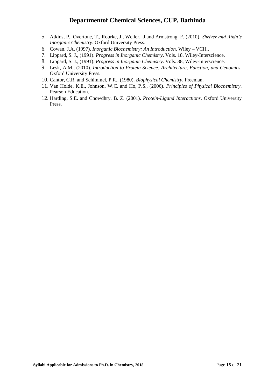- 5. Atkins, P., Overtone, T., Rourke, J., Weller, J.and Armstrong, F. (2010). *Shriver and Atkin's Inorganic Chemistry*. Oxford University Press.
- 6. Cowan, J.A. (1997). *Inorganic Biochemistry: An Introduction*. Wiley VCH,.
- 7. Lippard, S. J., (1991). *Progress in Inorganic Chemistry*. Vols. 18, Wiley-Interscience.
- 8. Lippard, S. J., (1991). *Progress in Inorganic Chemistry*. Vols. 38, Wiley-Interscience.
- 9. Lesk, A.M., (2010). *Introduction to Protein Science: Architecture, Function, and Genomics*. Oxford University Press.
- 10. Cantor, C.R. and Schimmel, P.R., (1980). *Biophysical Chemistry*. Freeman.
- 11. Van Holde, K.E., Johnson, W.C. and Ho, P.S., (2006). *Principles of Physical Biochemistry*. Pearson Education.
- 12. Harding, S.E. and Chowdhry, B. Z. (2001). *Protein-Ligand Interactions*. Oxford University Press.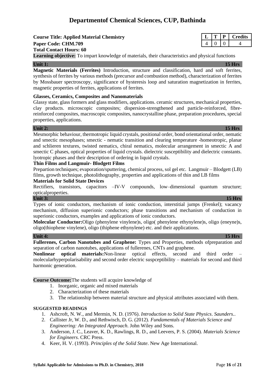**Course Title: Applied Material Chemistry L T P Credits Paper Code: CHM.709** 4 0 0 4 **Total Contact Hours: 60**

**Learning objective:** To impart knowledge of materials, their characteristics and physical functions

#### **Unit 1: 15 Hrs**

**Magnetic Materials (Ferrites)** Introduction, structure and classification, hard and soft ferrites, synthesis of ferrites by various methods (precursor and combustion method), characterization of ferrites by Mossbauer spectroscopy, significance of hysteresis loop and saturation magnetization in ferrites, magnetic properties of ferrites, applications of ferrites.

#### **Glasses, Ceramics, Composites and Nanomaterials**

Glassy state, glass formers and glass modifiers, applications. ceramic structures, mechanical properties, clay products. microscopic composites; dispersion-strengthened and particle-reinforced, fibrereinforced composites, macroscopic composites, nanocrystalline phase, preparation procedures, special properties, applications.

### **Unit 2: 15 Hrs**

Mesmorphic behaviour, thermotropic liquid crystals, positional order, bond orientational order, nematic and smectic mesophases; smectic - nematic transition and clearing temperature -homeotropic, planar and schlieren textures, twisted nematics, chiral nematics, molecular arrangement in smectic A and smectic C phases, optical properties of liquid crystals. dielectric susceptibility and dielectric constants. lyotropic phases and their description of ordering in liquid crystals.

#### **Thin Films and Langmuir- Blodgett Films**

Prepartion techniques; evaporation/sputtering, chemical process, sol gel etc. Langmuir – Blodgett (LB) films, growth technique, photolithography, properties and applications of thin and LB films

#### **Materials for Solid State Devices**

Rectifiers, transistors, capacitors –IV-V compounds, low–dimensional quantum structure; opticalproperties.

#### **Unit 3: 15 Hrs**

Types of ionic conductors, mechanism of ionic conduction, interstitial jumps (Frenkel); vacancy mechanism, diffusion superionic conductors; phase transitions and mechanism of conduction in superionic conductors, examples and applications of ionic conductors.

**Molecular Conductor:**Oligo (phenylene vinylene)s, oligo( phenylene ethynylene)s, oligo (eneyne)s, oligo(thiophene vinylene), oligo (thiphene ethynylene) etc. and their applications.

**Unit 4: 15 Hrs Fullerenes, Carbon Nanotubes and Graphene:** Types and Properties, methods ofpreparation and separation of carbon nanotubes, applications of fullerenes, CNTs and graphene.

**Nonlinear optical materials:**Non-linear optical effects, second and third order – molecularhyperpolarisability and second order electric suspceptibility – materials for second and third harmonic generation.

**Course Outcome:**The students will acquire knowledge of

- 1. Inorganic, organic and mixed materials
- 2. Characterization of these materials
- 3. The relationship between material structure and physical attributes associated with them.

- 1. Ashcroft, N. W., and Mermin, N. D. (1976). *Introduction to Solid State Physics*. *Saunders.*.
- 2. Callister Jr, W. D., and Rethwisch, D. G. (2012). *Fundamentals of Materials Science and Engineering: An Integrated Approach*. John Wiley and Sons.
- 3. Anderson, J. C., Leaver, K. D., Rawlings, R. D., and Leevers, P. S. (2004). *Materials Science for Engineers*. CRC Press.
- 4. Keer, H. V. (1993). *Principles of the Solid State*. New Age International.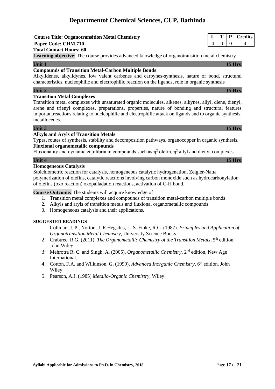**Course Title: Organotransition Metal Chemistry Paper Code: CHM.710 Total Contact Hours: 60 Learning objective**: The course provides advanced knowledge of organotransition metal chemistry

#### **Unit 1** 15 Hrs

### **Compounds of Transition Metal-Carbon Multiple Bonds**

Alkylidenes, alkylidynes, low valent carbenes and carbynes-synthesis, nature of bond, structural characteristics, nucleophilic and electrophilic reaction on the ligands, role in organic synthesis

#### **Unit 2 15 Hrs**

#### **Transition Metal Complexes**

Transition metal complexes with unsaturated organic molecules, alkenes, alkynes, allyl, diene, dienyl, arene and trienyl complexes, preparations, properties, nature of bonding and structural features importantreactions relating to nucleophilic and electrophilic attack on ligands and to organic synthesis, metallocenes.

### **Unit 3 15 Hrs**

#### **Alkyls and Aryls of Transition Metals**

Types, routes of synthesis, stability and decomposition pathways, organocopper in organic synthesis. **Fluxional organometallic compounds** 

Fluxionality and dynamic equilibria in compounds such as  $\eta^2$  olefin,  $\eta^2$  allyl and dienyl complexes.

### **Unit 4 15 Hrs**

### **Homogeneous Catalysis**

Stoichiometric reaction for catalysis, homogeneous catalytic hydrogenation, Zeigler-Natta polymerization of olefins, catalytic reactions involving carbon monoxide such as hydrocarbonylation of olefins (oxo reaction) oxopalladation reactions, activation of C-H bond.

#### **Course Outcome:** The students will acquire knowledge of

- 1. Transition metal complexes and compounds of transition metal-carbon multiple bonds
- 2. Alkyls and aryls of transition metals and fluxional organometallic compounds
- 3. Homogeneous catalysis and their applications.

- 1. Collman, J. P., Norton, J. R.Hegsdus, L. S. Finke, R.G. (1987). *Principles and Application of Organotransition Metal Chemistry*, University Science Books.
- 2. Crabtree, R.G. (2011). *The Organometallic Chemistry of the Transition Metals*, 5<sup>th</sup> edition, John Wiley.
- 3. Mehrotra R. C. and Singh, A. (2005). *Organometallic Chemistry*, 2nd edition, New Age International.
- 4. Cotton, F.A. and Wilkinson, G. (1999). *Advanced Inorganic Chemistry*, 6th edition, John Wiley.
- 5. Pearson, A.J. (1985) *Metallo-Organic Chemistry*, Wiley.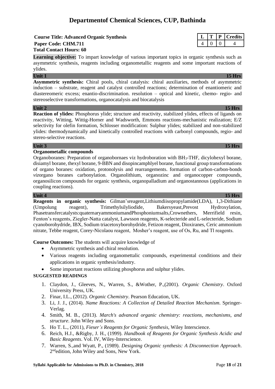### **Course Title: Advanced Organic Synthesis**  $\vert L \vert T \vert P \vert$  **Credits Paper Code: CHM.711** 4 0 0 4 **Total Contact Hours: 60**

**Learning objective:** To impart knowledge of various important topics in organic synthesis such as asymmetric synthesis, reagents including organometallic reagents and some important reactions of ylides.

### **Unit 1 15 Hrs**

**Asymmetric synthesis:** Chiral pools, chiral catalysis: chiral auxiliaries, methods of asymmetric induction – substrate, reagent and catalyst controlled reactions; determination of enantiomeric and diastereomeric excess; enantio-discrimination. resolution – optical and kinetic, chemo- regio- and stereoselective transformations, organocatalysis and biocatalysis

#### **Unit 2 15 Hrs**

**Reaction of ylides:** Phosphorus ylide; structure and reactivity, stabilized ylides, effects of ligands on reactivity, Witting, Wittig-Horner and Wadsworth, Emmons reactions-mechanistic realization; E/Z selectivity for olefin formation, Schlosser modification: Sulphur ylides; stabilized and non-stabilized ylides: thermodynamically and kinetically controlled reactions with carbonyl compounds, regio- and stereo-selective reactions.

### **Unit 3 15 Hrs**

### **Organometallic compounds**

Organoboranes: Preparation of organobornaes viz hydroboration with BH3-THF, dicylohexyl borane, disiamyl borane, thexyl borane, 9-BBN and disopincamphlyel borane, functional group transformations of organo boranes: oxidation, protonolysis and rearrangements. formation of carbon-carbon-bonds *viz*organo boranes carbonylation. Organolithium, organozinc and organocopper compounds, organosilicon compounds for organic synthesis, organopalladium and organostannous (applications in coupling reactions).

### **Unit 4 15 Hrs**

**Reagents in organic synthesis:** Gilman'sreagent,Lithiumdiisopropylamide(LDA), 1,3-Dithiane (Umpolung reagent), Trimethylsilyliodide, Bakersyeast,Prevost Hydroxylation, Phasetransfercatalysts:quaternaryammoniumandPhosphoniumsalts,Crownethers, Merrifield resin, Fenton's reagents, Ziegler-Natta catalyst, Lawsson reagents, K-selecteride and L-selecteride, Sodium cyanoborohydride, IBX, Sodium triacetoxyborohydride, Fetizon reagent, Dioxiranes, Ceric ammonium nitrate, Tebbe reagent, Corey-Nicolaou reagent, Mosher's reagent, use of Os, Ru, and Tl reagents.

**Course Outcomes:** The students will acquire knowledge of

- Asymmetric synthesis and chiral resolution.
- Various reagents including organomettalic compounds, experimental conditions and their applications in organic synthesis/industry.
- Some important reactions utilizing phosphorus and sulphur ylides.

- 1. Claydon, J., Gleeves, N., Warren, S., &Wother, P.,(2001). *Organic Chemistry*. Oxford University Press, UK.
- 2. Finar, I.L., (2012). *Organic Chemistry*. Pearson Education, UK.
- 3. Li, J. J., (2014). *Name Reactions: A Collection of Detailed Reaction Mechanism*. Springer-Verlag.
- 4. Smith, M. B., (2013). *March's advanced organic chemistry: reactions, mechanisms, and structure*. John Wiley and Sons.
- 5. Ho T. L., (2011), *Fieser's Reagents for Organic Synthesis*, Wiley Interscience.
- 6. Reich, H.J., &Rigby, J. H., (1999). *Handbook of Reagents for Organic Synthesis Acidic and Basic Reagents*. VoI. IV, Wiley-Interscience.
- 7. Warren, S.,and Wyatt, P., (1989). *Designing Organic synthesis: A Disconnection Approach*. 2<sup>nd</sup>edition, John Wiley and Sons, New York.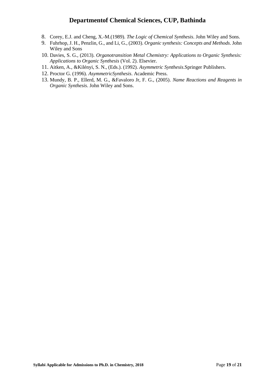- 8. Corey, E.J. and Cheng, X.-M.(1989). *The Logic of Chemical Synthesis*. John Wiley and Sons.
- 9. Fuhrhop, J. H., Penzlin, G., and Li, G., (2003). *Organic synthesis: Concepts and Methods*. John Wiley and Sons
- 10. Davies, S. G., (2013). *Organotransition Metal Chemistry: Applications to Organic Synthesis: Applications to Organic Synthesis* (Vol. 2). Elsevier.
- 11. Aitken, A., &Kilényi, S. N., (Eds.). (1992). *Asymmetric Synthesis*.Springer Publishers.
- 12. Proctor G. (1996). *AsymmetricSynthesis*. Academic Press.
- 13. Mundy, B. P., Ellerd, M. G., &Favaloro Jr, F. G., (2005). *Name Reactions and Reagents in Organic Synthesis*. John Wiley and Sons.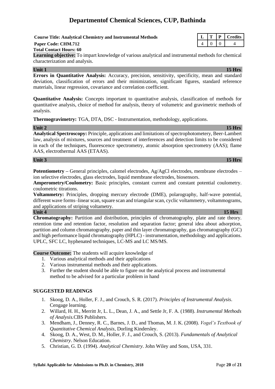#### **Syllabi Applicable for Admissions to Ph.D. in Chemistry, 2018** Page 20 of 21

# **Departmentof Chemical Sciences, CUP, Bathinda**

**Course Title: Analytical Chemistry and Instrumental Methods L T P Credits**

#### **Total Contact Hours: 60**

**Learning objective:** To impart knowledge of various analytical and instrumental methods for chemical characterization and analysis.

#### **Unit 1** 15 Hrs

**Errors in Quantitative Analysis:** Accuracy, precision, sensitivity, specificity, mean and standard deviation, classification of errors and their minimization, significant figures, standard reference materials, linear regression, covariance and correlation coefficient.

**Quantitative Analysis:** Concepts important to quantitative analysis, classification of methods for quantitative analysis, choice of method for analysis, theory of volumetric and gravimetric methods of analysis.

**Thermogravimetry:** TGA, DTA, DSC - Instrumentation, methodology, applications.

#### **Unit 2 15 Hrs Analytical Spectroscopy:** Principle, applications and limitations of spectrophotometery, Beer-Lambert law, analysis of mixtures, sources and treatment of interferences and detection limits to be considered in each of the techniques, fluorescence spectrometry, atomic absorption spectrometry (AAS); flame AAS, electrothermal AAS (ETAAS).

**Potentiometry –** General principles, calomel electrodes, Ag/AgCl electrodes, membrane electrodes – ion selective electrodes, glass electrodes, liquid membrane electrodes, biosensors.

**Amperometry/Coulometry:** Basic principles, constant current and constant potential coulometry. coulometric titrations.

**Voltammetry:** Principles, dropping mercury electrode (DME), polarography, half-wave potential, different wave forms–linear scan, square scan and triangular scan, cyclic voltammetry, voltammograms, and applications of striping voltametry.

**Chromatography:** Partition and distribution, principles of chromatography, plate and rate theory. retention time and retention factor, resolution and separation factor; general idea about adsorption, partition and column chromatography, paper and thin layer chromatography, gas chromatography (GC) and high performance liquid chromatography (HPLC) - instrumentation, methodology and applications. UPLC, SFC LC, hyphenated techniques, LC-MS and LC MS/MS.

**Course Outcome:** The students will acquire knowledge of

- 1. Various analytical methods and their applications
- 2. Various instrumental methods and their applications.
- 3. Further the student should be able to figure out the analytical process and instrumental method to be advised for a particular problem in hand

#### **SUGGESTED READINGS**

- 1. Skoog, D. A., Holler, F. J., and Crouch, S. R. (2017). *Principles of Instrumental Analysis*. Cengage learning.
- 2. Willard, H. H., Merritt Jr, L. L., Dean, J. A., and Settle Jr, F. A. (1988). *Instrumental Methods of Analysis.*CBS Publishers.
- 3. Mendham, J., Denney, R. C., Barnes, J. D., and Thomas, M. J. K. (2008). *Vogel's Textbook of Quantitative Chemical Analysis*, Dorling Kindersley.
- 4. Skoog, D. A., West, D. M., Holler, F. J., and Crouch, S. (2013). *Fundamentals of Analytical Chemistry*. Nelson Education.
- 5. Christian, G. D. (1994). *Analytical Chemistry*. John Wiley and Sons, USA, 331.

# **Paper Code: CHM.712** 4 0 0 4

### **Unit 3 15 Hrs**

#### **Unit 4** 15 Hrs